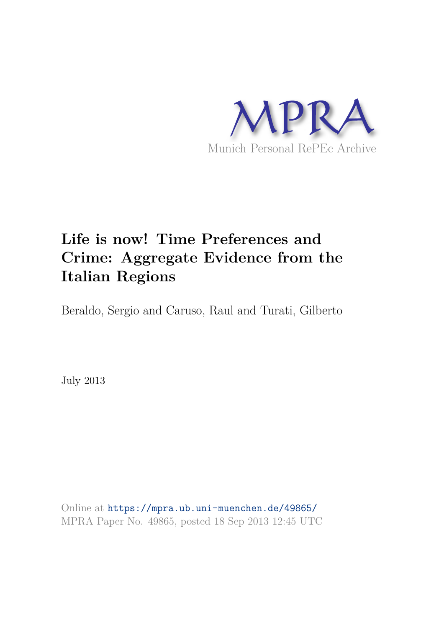

# **Life is now! Time Preferences and Crime: Aggregate Evidence from the Italian Regions**

Beraldo, Sergio and Caruso, Raul and Turati, Gilberto

July 2013

Online at https://mpra.ub.uni-muenchen.de/49865/ MPRA Paper No. 49865, posted 18 Sep 2013 12:45 UTC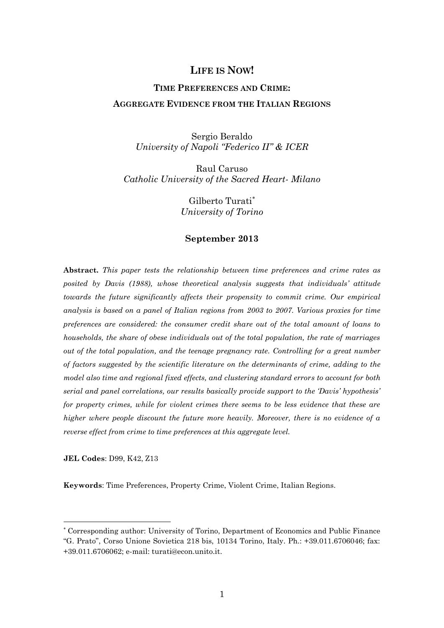## **LIFE IS NOW!**

# **TIME PREFERENCES AND CRIME: AGGREGATE EVIDENCE FROM THE ITALIAN REGIONS**

Sergio Beraldo *University of Napoli "Federico II" & ICER*

Raul Caruso *Catholic University of the Sacred Heart- Milano*

> Gilberto Turati *University of Torino*

#### **September 2013**

**Abstract.** *This paper tests the relationship between time preferences and crime rates as posited by Davis (1988), whose theoretical analysis suggests that individuals' attitude towards the future significantly affects their propensity to commit crime. Our empirical analysis is based on a panel of Italian regions from 2003 to 2007. Various proxies for time preferences are considered: the consumer credit share out of the total amount of loans to households, the share of obese individuals out of the total population, the rate of marriages out of the total population, and the teenage pregnancy rate. Controlling for a great number of factors suggested by the scientific literature on the determinants of crime, adding to the model also time and regional fixed effects, and clustering standard errors to account for both serial and panel correlations, our results basically provide support to the 'Davis' hypothesis' for property crimes, while for violent crimes there seems to be less evidence that these are higher where people discount the future more heavily. Moreover, there is no evidence of a reverse effect from crime to time preferences at this aggregate level.* 

**JEL Codes**: D99, K42, Z13

 $\overline{a}$ 

**Keywords**: Time Preferences, Property Crime, Violent Crime, Italian Regions.

Corresponding author: University of Torino, Department of Economics and Public Finance "G. Prato", Corso Unione Sovietica 218 bis, 10134 Torino, Italy. Ph.: +39.011.6706046; fax: +39.011.6706062; e-mail: turati@econ.unito.it.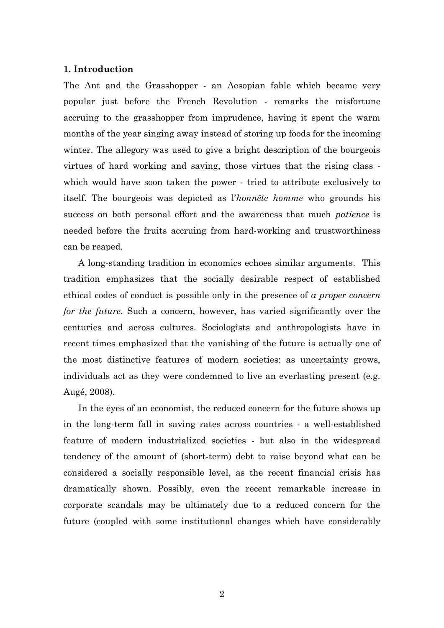#### **1. Introduction**

The Ant and the Grasshopper - an Aesopian fable which became very popular just before the French Revolution - remarks the misfortune accruing to the grasshopper from imprudence, having it spent the warm months of the year singing away instead of storing up foods for the incoming winter. The allegory was used to give a bright description of the bourgeois virtues of hard working and saving, those virtues that the rising class which would have soon taken the power - tried to attribute exclusively to itself. The bourgeois was depicted as l'*honnête homme* who grounds his success on both personal effort and the awareness that much *patience* is needed before the fruits accruing from hard-working and trustworthiness can be reaped.

A long-standing tradition in economics echoes similar arguments. This tradition emphasizes that the socially desirable respect of established ethical codes of conduct is possible only in the presence of *a proper concern for the future*. Such a concern, however, has varied significantly over the centuries and across cultures. Sociologists and anthropologists have in recent times emphasized that the vanishing of the future is actually one of the most distinctive features of modern societies: as uncertainty grows, individuals act as they were condemned to live an everlasting present (e.g. Augé, 2008).

In the eyes of an economist, the reduced concern for the future shows up in the long-term fall in saving rates across countries - a well-established feature of modern industrialized societies - but also in the widespread tendency of the amount of (short-term) debt to raise beyond what can be considered a socially responsible level, as the recent financial crisis has dramatically shown. Possibly, even the recent remarkable increase in corporate scandals may be ultimately due to a reduced concern for the future (coupled with some institutional changes which have considerably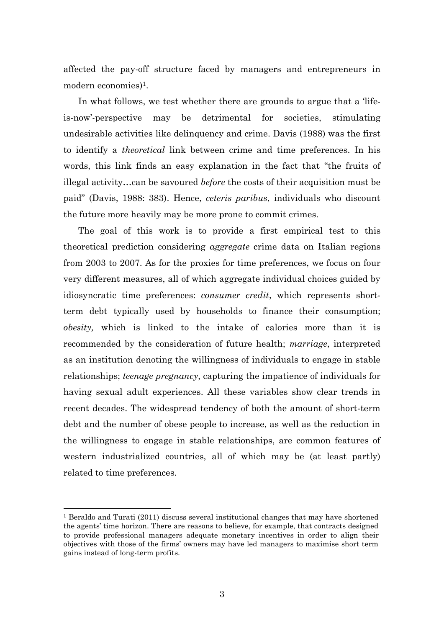affected the pay-off structure faced by managers and entrepreneurs in modern economies)1.

In what follows, we test whether there are grounds to argue that a 'lifeis-now'-perspective may be detrimental for societies, stimulating undesirable activities like delinquency and crime. Davis (1988) was the first to identify a *theoretical* link between crime and time preferences. In his words, this link finds an easy explanation in the fact that "the fruits of illegal activity…can be savoured *before* the costs of their acquisition must be paid" (Davis, 1988: 383). Hence, *ceteris paribus*, individuals who discount the future more heavily may be more prone to commit crimes.

The goal of this work is to provide a first empirical test to this theoretical prediction considering *aggregate* crime data on Italian regions from 2003 to 2007. As for the proxies for time preferences, we focus on four very different measures, all of which aggregate individual choices guided by idiosyncratic time preferences: *consumer credit*, which represents shortterm debt typically used by households to finance their consumption; *obesity,* which is linked to the intake of calories more than it is recommended by the consideration of future health; *marriage*, interpreted as an institution denoting the willingness of individuals to engage in stable relationships; *teenage pregnancy*, capturing the impatience of individuals for having sexual adult experiences. All these variables show clear trends in recent decades. The widespread tendency of both the amount of short-term debt and the number of obese people to increase, as well as the reduction in the willingness to engage in stable relationships, are common features of western industrialized countries, all of which may be (at least partly) related to time preferences.

 $\overline{a}$ 

<sup>&</sup>lt;sup>1</sup> Beraldo and Turati (2011) discuss several institutional changes that may have shortened the agents' time horizon. There are reasons to believe, for example, that contracts designed to provide professional managers adequate monetary incentives in order to align their objectives with those of the firms' owners may have led managers to maximise short term gains instead of long-term profits.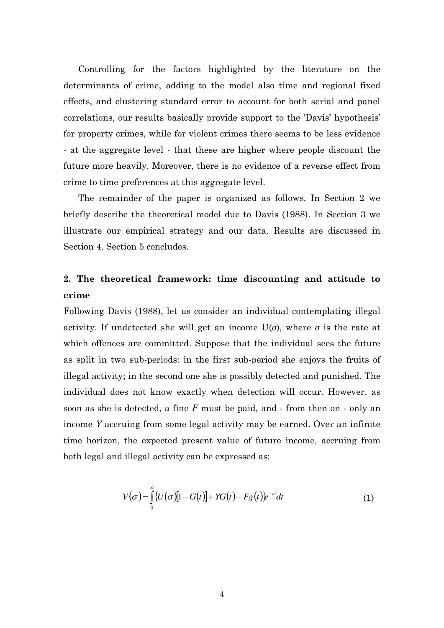Controlling for the factors highlighted by the literature on the determinants of crime, adding to the model also time and regional fixed effects, and clustering standard error to account for both serial and panel correlations, our results basically provide support to the 'Davis' hypothesis' for property crimes, while for violent crimes there seems to be less evidence - at the aggregate level - that these are higher where people discount the future more heavily. Moreover, there is no evidence of a reverse effect from crime to time preferences at this aggregate level.

The remainder of the paper is organized as follows. In Section 2 we briefly describe the theoretical model due to Davis (1988). In Section 3 we illustrate our empirical strategy and our data. Results are discussed in Section 4. Section 5 concludes.

# **2. The theoretical framework: time discounting and attitude to crime**

Following Davis (1988), let us consider an individual contemplating illegal activity. If undetected she will get an income  $U(\sigma)$ , where  $\sigma$  is the rate at which offences are committed. Suppose that the individual sees the future as split in two sub-periods: in the first sub-period she enjoys the fruits of illegal activity; in the second one she is possibly detected and punished. The individual does not know exactly when detection will occur. However, as soon as she is detected, a fine *F* must be paid, and - from then on - only an income *Y* accruing from some legal activity may be earned. Over an infinite time horizon, the expected present value of future income, accruing from both legal and illegal activity can be expressed as:

$$
V(\sigma) = \int_{0}^{\infty} \{ U(\sigma)[1 - G(t)] + YG(t) - Fg(t) \} e^{-rt} dt
$$
 (1)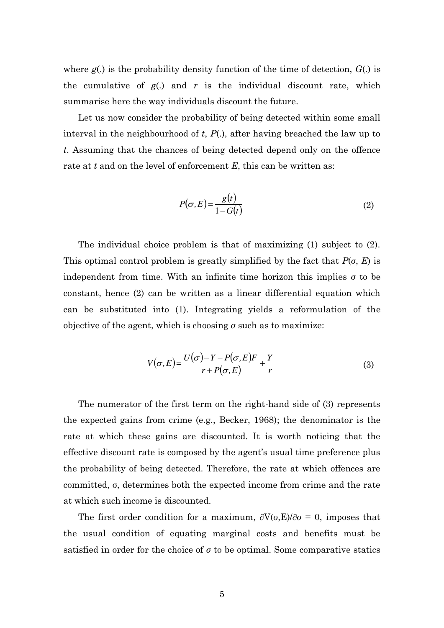where  $g(.)$  is the probability density function of the time of detection,  $G(.)$  is the cumulative of  $g(.)$  and  $r$  is the individual discount rate, which summarise here the way individuals discount the future.

Let us now consider the probability of being detected within some small interval in the neighbourhood of *t*, *P*(.), after having breached the law up to *t*. Assuming that the chances of being detected depend only on the offence rate at *t* and on the level of enforcement *E*, this can be written as:

$$
P(\sigma, E) = \frac{g(t)}{1 - G(t)}
$$
\n(2)

The individual choice problem is that of maximizing (1) subject to (2). This optimal control problem is greatly simplified by the fact that *P*(*σ*, *E*) is independent from time. With an infinite time horizon this implies *σ* to be constant, hence (2) can be written as a linear differential equation which can be substituted into (1). Integrating yields a reformulation of the objective of the agent, which is choosing *σ* such as to maximize:

$$
V(\sigma, E) = \frac{U(\sigma) - Y - P(\sigma, E)F}{r + P(\sigma, E)} + \frac{Y}{r}
$$
\n(3)

The numerator of the first term on the right-hand side of (3) represents the expected gains from crime (e.g., Becker, 1968); the denominator is the rate at which these gains are discounted. It is worth noticing that the effective discount rate is composed by the agent's usual time preference plus the probability of being detected. Therefore, the rate at which offences are committed, σ, determines both the expected income from crime and the rate at which such income is discounted.

The first order condition for a maximum,  $\partial V(\sigma, E)/\partial \sigma = 0$ , imposes that the usual condition of equating marginal costs and benefits must be satisfied in order for the choice of *σ* to be optimal. Some comparative statics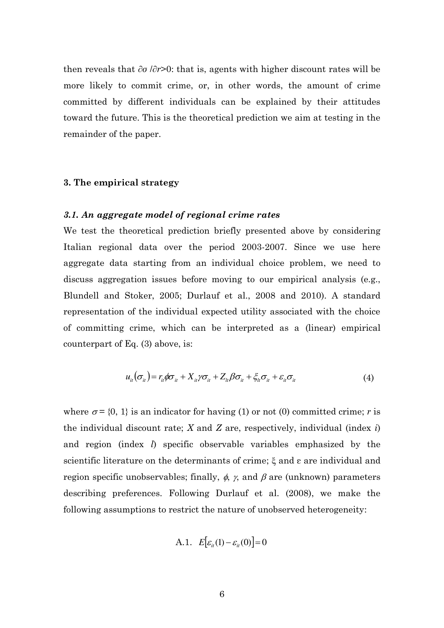then reveals that  $\partial \sigma / \partial r > 0$ : that is, agents with higher discount rates will be more likely to commit crime, or, in other words, the amount of crime committed by different individuals can be explained by their attitudes toward the future. This is the theoretical prediction we aim at testing in the remainder of the paper.

#### **3. The empirical strategy**

#### *3.1. An aggregate model of regional crime rates*

We test the theoretical prediction briefly presented above by considering Italian regional data over the period 2003-2007. Since we use here aggregate data starting from an individual choice problem, we need to discuss aggregation issues before moving to our empirical analysis (e.g., Blundell and Stoker, 2005; Durlauf et al., 2008 and 2010). A standard representation of the individual expected utility associated with the choice of committing crime, which can be interpreted as a (linear) empirical counterpart of Eq. (3) above, is:

$$
u_{ii}(\sigma_{ii}) = r_{ii}\phi\sigma_{ii} + X_{ii}\gamma\sigma_{ii} + Z_{ii}\beta\sigma_{ii} + \xi_{ii}\sigma_{ii} + \varepsilon_{ii}\sigma_{ii}
$$
 (4)

where  $\sigma$  = {0, 1} is an indicator for having (1) or not (0) committed crime; *r* is the individual discount rate; *X* and *Z* are, respectively, individual (index *i*) and region (index *l*) specific observable variables emphasized by the scientific literature on the determinants of crime;  $\xi$  and  $\varepsilon$  are individual and region specific unobservables; finally,  $\phi$ ,  $\gamma$ , and  $\beta$  are (unknown) parameters describing preferences. Following Durlauf et al. (2008), we make the following assumptions to restrict the nature of unobserved heterogeneity:

A.1. 
$$
E[\varepsilon_{it}(1) - \varepsilon_{it}(0)] = 0
$$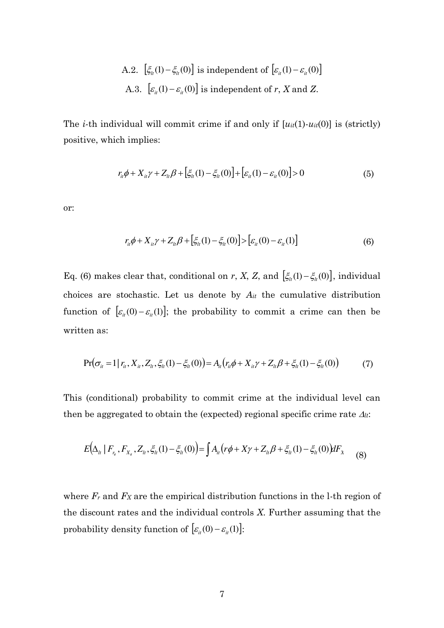A.2. 
$$
[\xi_{tt}(1) - \xi_{tt}(0)]
$$
 is independent of  $[\varepsilon_{tt}(1) - \varepsilon_{tt}(0)]$   
A.3.  $[\varepsilon_{tt}(1) - \varepsilon_{tt}(0)]$  is independent of *r*, *X* and *Z*.

The *i*-th individual will commit crime if and only if  $[u_{it}(1) - u_{it}(0)]$  is (strictly) positive, which implies:

$$
r_{it}\phi + X_{it}\gamma + Z_{it}\beta + [\xi_{it}(1) - \xi_{it}(0)] + [\varepsilon_{it}(1) - \varepsilon_{it}(0)] > 0
$$
\n(5)

or:

$$
r_{\scriptscriptstyle it} \phi + X_{\scriptscriptstyle it} \gamma + Z_{\scriptscriptstyle it} \beta + \left[ \xi_{\scriptscriptstyle it}(1) - \xi_{\scriptscriptstyle it}(0) \right] > \left[ \varepsilon_{\scriptscriptstyle it}(0) - \varepsilon_{\scriptscriptstyle it}(1) \right] \tag{6}
$$

Eq. (6) makes clear that, conditional on *r*, *X*, *Z*, and  $\left[\xi_u(1) - \xi_u(0)\right]$ , individual choices are stochastic. Let us denote by *Ait* the cumulative distribution function of  $[\varepsilon_{ii}(0) - \varepsilon_{ii}(1)]$ ; the probability to commit a crime can then be written as:

$$
Pr(\sigma_{it} = 1 | r_{it}, X_{it}, Z_{it}, \xi_{it}(1) - \xi_{it}(0)) = A_{it}(r_{it}\phi + X_{it}\gamma + Z_{it}\beta + \xi_{it}(1) - \xi_{it}(0))
$$
(7)

This (conditional) probability to commit crime at the individual level can then be aggregated to obtain the (expected) regional specific crime rate  $\Delta u$ .

$$
E(\Delta_{l_l} | F_{r_{l_l}}, F_{X_{l_l}}, Z_{l_l}, \xi_{l_l}(1) - \xi_{l_l}(0)) = \int A_{l_l}(r\phi + X\gamma + Z_{l_l}\beta + \xi_{l_l}(1) - \xi_{l_l}(0))dF_X
$$
 (8)

where *Fr* and *FX* are the empirical distribution functions in the l-th region of the discount rates and the individual controls *X*. Further assuming that the probability density function of  $[\varepsilon_{ii}(0) - \varepsilon_{ii}(1)]$ :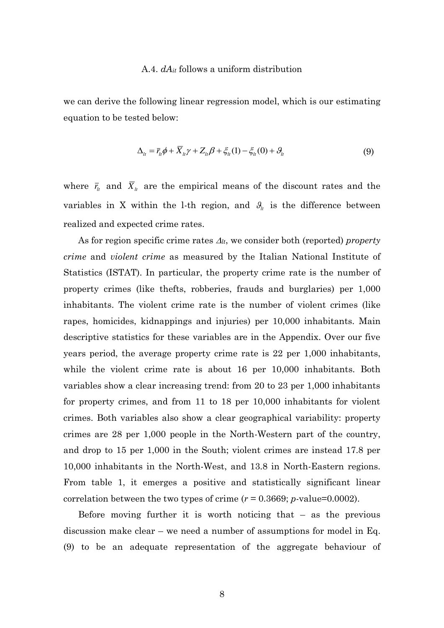#### A.4. *dAit* follows a uniform distribution

we can derive the following linear regression model, which is our estimating equation to be tested below:

$$
\Delta_{lt} = \overline{r}_{lt} \phi + \overline{X}_{lt} \gamma + Z_{lt} \beta + \xi_{lt}(1) - \xi_{lt}(0) + \mathcal{G}_{lt}
$$
\n(9)

where  $\bar{r}_{lt}$  and  $\bar{X}_{lt}$  are the empirical means of the discount rates and the variables in X within the l-th region, and  $\mathcal{G}_{\mu}$  is the difference between realized and expected crime rates.

As for region specific crime rates  $\Delta_{lt}$ , we consider both (reported) *property crime* and *violent crime* as measured by the Italian National Institute of Statistics (ISTAT). In particular, the property crime rate is the number of property crimes (like thefts, robberies, frauds and burglaries) per 1,000 inhabitants. The violent crime rate is the number of violent crimes (like rapes, homicides, kidnappings and injuries) per 10,000 inhabitants. Main descriptive statistics for these variables are in the Appendix. Over our five years period, the average property crime rate is 22 per 1,000 inhabitants, while the violent crime rate is about 16 per 10,000 inhabitants. Both variables show a clear increasing trend: from 20 to 23 per 1,000 inhabitants for property crimes, and from 11 to 18 per 10,000 inhabitants for violent crimes. Both variables also show a clear geographical variability: property crimes are 28 per 1,000 people in the North-Western part of the country, and drop to 15 per 1,000 in the South; violent crimes are instead 17.8 per 10,000 inhabitants in the North-West, and 13.8 in North-Eastern regions. From table 1, it emerges a positive and statistically significant linear correlation between the two types of crime  $(r = 0.3669; p-value=0.0002)$ .

Before moving further it is worth noticing that  $-$  as the previous discussion make clear – we need a number of assumptions for model in Eq. (9) to be an adequate representation of the aggregate behaviour of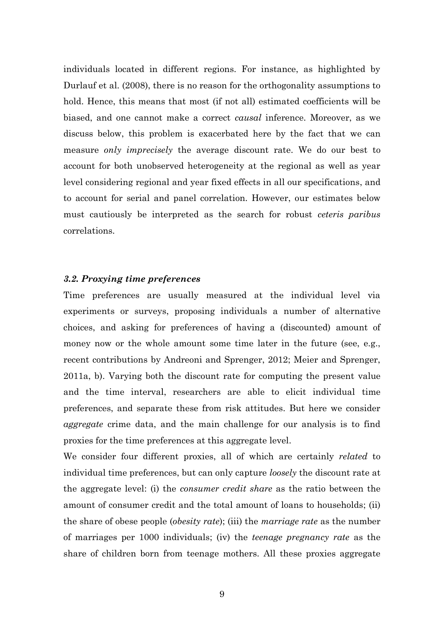individuals located in different regions. For instance, as highlighted by Durlauf et al. (2008), there is no reason for the orthogonality assumptions to hold. Hence, this means that most (if not all) estimated coefficients will be biased, and one cannot make a correct *causal* inference. Moreover, as we discuss below, this problem is exacerbated here by the fact that we can measure *only imprecisely* the average discount rate. We do our best to account for both unobserved heterogeneity at the regional as well as year level considering regional and year fixed effects in all our specifications, and to account for serial and panel correlation. However, our estimates below must cautiously be interpreted as the search for robust *ceteris paribus*  correlations.

#### *3.2. Proxying time preferences*

Time preferences are usually measured at the individual level via experiments or surveys, proposing individuals a number of alternative choices, and asking for preferences of having a (discounted) amount of money now or the whole amount some time later in the future (see, e.g., recent contributions by Andreoni and Sprenger, 2012; Meier and Sprenger, 2011a, b). Varying both the discount rate for computing the present value and the time interval, researchers are able to elicit individual time preferences, and separate these from risk attitudes. But here we consider *aggregate* crime data, and the main challenge for our analysis is to find proxies for the time preferences at this aggregate level.

We consider four different proxies, all of which are certainly *related* to individual time preferences, but can only capture *loosely* the discount rate at the aggregate level: (i) the *consumer credit share* as the ratio between the amount of consumer credit and the total amount of loans to households; (ii) the share of obese people (*obesity rate*); (iii) the *marriage rate* as the number of marriages per 1000 individuals; (iv) the *teenage pregnancy rate* as the share of children born from teenage mothers. All these proxies aggregate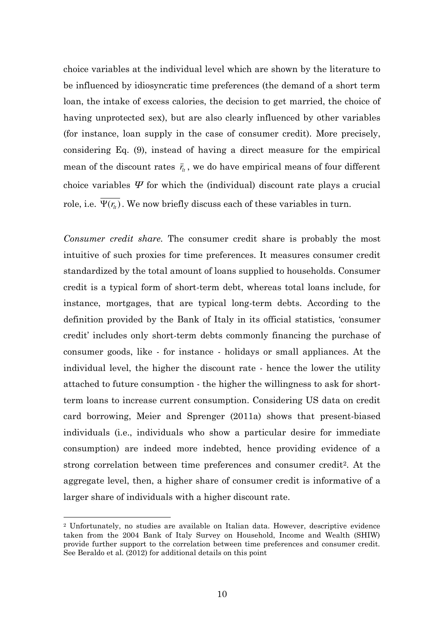choice variables at the individual level which are shown by the literature to be influenced by idiosyncratic time preferences (the demand of a short term loan, the intake of excess calories, the decision to get married, the choice of having unprotected sex), but are also clearly influenced by other variables (for instance, loan supply in the case of consumer credit). More precisely, considering Eq. (9), instead of having a direct measure for the empirical mean of the discount rates  $\bar{r}_{\mu}$ , we do have empirical means of four different choice variables *Ψ* for which the (individual) discount rate plays a crucial role, i.e.  $\Psi(r_h)$ . We now briefly discuss each of these variables in turn.

*Consumer credit share.* The consumer credit share is probably the most intuitive of such proxies for time preferences. It measures consumer credit standardized by the total amount of loans supplied to households. Consumer credit is a typical form of short-term debt, whereas total loans include, for instance, mortgages, that are typical long-term debts. According to the definition provided by the Bank of Italy in its official statistics, 'consumer credit' includes only short-term debts commonly financing the purchase of consumer goods, like - for instance - holidays or small appliances. At the individual level, the higher the discount rate - hence the lower the utility attached to future consumption - the higher the willingness to ask for shortterm loans to increase current consumption. Considering US data on credit card borrowing, Meier and Sprenger (2011a) shows that present-biased individuals (i.e., individuals who show a particular desire for immediate consumption) are indeed more indebted, hence providing evidence of a strong correlation between time preferences and consumer credit2. At the aggregate level, then, a higher share of consumer credit is informative of a larger share of individuals with a higher discount rate.

 $\overline{a}$ 

<sup>2</sup> Unfortunately, no studies are available on Italian data. However, descriptive evidence taken from the 2004 Bank of Italy Survey on Household, Income and Wealth (SHIW) provide further support to the correlation between time preferences and consumer credit. See Beraldo et al. (2012) for additional details on this point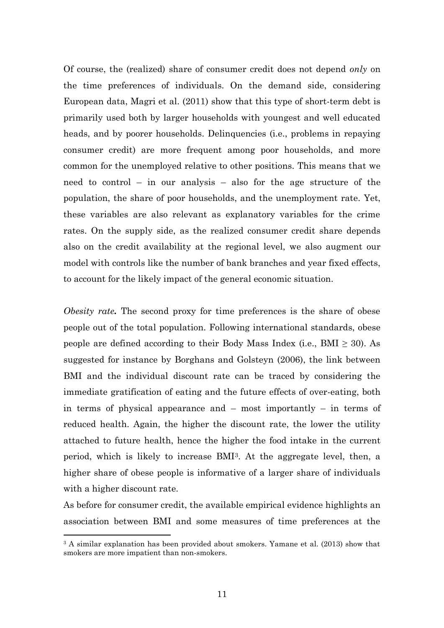Of course, the (realized) share of consumer credit does not depend *only* on the time preferences of individuals. On the demand side, considering European data, Magri et al. (2011) show that this type of short-term debt is primarily used both by larger households with youngest and well educated heads, and by poorer households. Delinquencies (i.e., problems in repaying consumer credit) are more frequent among poor households, and more common for the unemployed relative to other positions. This means that we need to control – in our analysis – also for the age structure of the population, the share of poor households, and the unemployment rate. Yet, these variables are also relevant as explanatory variables for the crime rates. On the supply side, as the realized consumer credit share depends also on the credit availability at the regional level, we also augment our model with controls like the number of bank branches and year fixed effects, to account for the likely impact of the general economic situation.

*Obesity rate.* The second proxy for time preferences is the share of obese people out of the total population. Following international standards, obese people are defined according to their Body Mass Index (i.e., BMI  $\geq$  30). As suggested for instance by Borghans and Golsteyn (2006), the link between BMI and the individual discount rate can be traced by considering the immediate gratification of eating and the future effects of over-eating, both in terms of physical appearance and – most importantly – in terms of reduced health. Again, the higher the discount rate, the lower the utility attached to future health, hence the higher the food intake in the current period, which is likely to increase BMI3. At the aggregate level, then, a higher share of obese people is informative of a larger share of individuals with a higher discount rate.

As before for consumer credit, the available empirical evidence highlights an association between BMI and some measures of time preferences at the

 $\overline{a}$ 

<sup>3</sup> A similar explanation has been provided about smokers. Yamane et al. (2013) show that smokers are more impatient than non-smokers.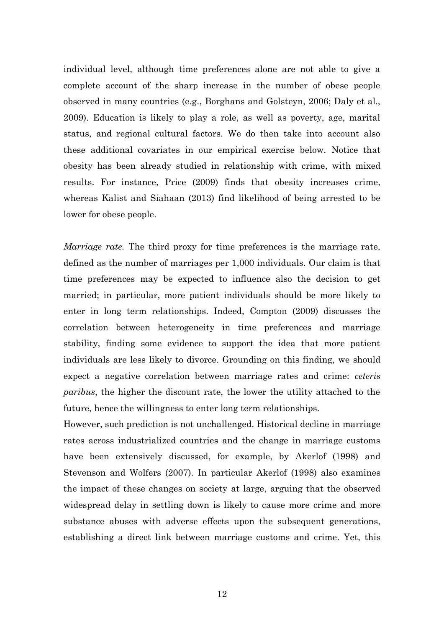individual level, although time preferences alone are not able to give a complete account of the sharp increase in the number of obese people observed in many countries (e.g., Borghans and Golsteyn, 2006; Daly et al., 2009). Education is likely to play a role, as well as poverty, age, marital status, and regional cultural factors. We do then take into account also these additional covariates in our empirical exercise below. Notice that obesity has been already studied in relationship with crime, with mixed results. For instance, Price (2009) finds that obesity increases crime, whereas Kalist and Siahaan (2013) find likelihood of being arrested to be lower for obese people.

*Marriage rate.* The third proxy for time preferences is the marriage rate, defined as the number of marriages per 1,000 individuals. Our claim is that time preferences may be expected to influence also the decision to get married; in particular, more patient individuals should be more likely to enter in long term relationships. Indeed, Compton (2009) discusses the correlation between heterogeneity in time preferences and marriage stability, finding some evidence to support the idea that more patient individuals are less likely to divorce. Grounding on this finding, we should expect a negative correlation between marriage rates and crime: *ceteris paribus*, the higher the discount rate, the lower the utility attached to the future, hence the willingness to enter long term relationships.

However, such prediction is not unchallenged. Historical decline in marriage rates across industrialized countries and the change in marriage customs have been extensively discussed, for example, by Akerlof (1998) and Stevenson and Wolfers (2007). In particular Akerlof (1998) also examines the impact of these changes on society at large, arguing that the observed widespread delay in settling down is likely to cause more crime and more substance abuses with adverse effects upon the subsequent generations, establishing a direct link between marriage customs and crime. Yet, this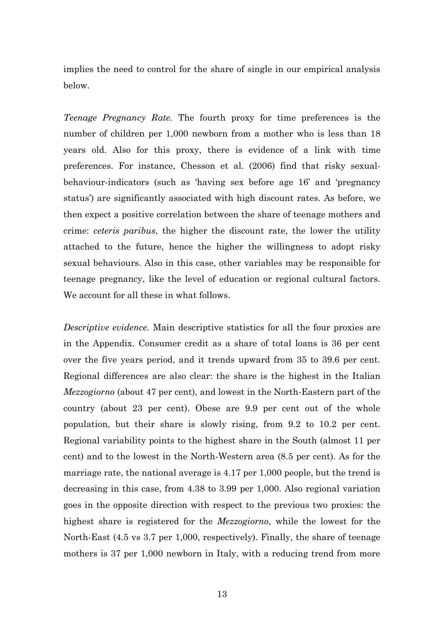implies the need to control for the share of single in our empirical analysis below.

*Teenage Pregnancy Rate.* The fourth proxy for time preferences is the number of children per 1,000 newborn from a mother who is less than 18 years old. Also for this proxy, there is evidence of a link with time preferences. For instance, Chesson et al. (2006) find that risky sexualbehaviour-indicators (such as 'having sex before age 16' and 'pregnancy status') are significantly associated with high discount rates. As before, we then expect a positive correlation between the share of teenage mothers and crime: *ceteris paribus*, the higher the discount rate, the lower the utility attached to the future, hence the higher the willingness to adopt risky sexual behaviours. Also in this case, other variables may be responsible for teenage pregnancy, like the level of education or regional cultural factors. We account for all these in what follows.

*Descriptive evidence.* Main descriptive statistics for all the four proxies are in the Appendix. Consumer credit as a share of total loans is 36 per cent over the five years period, and it trends upward from 35 to 39.6 per cent. Regional differences are also clear: the share is the highest in the Italian *Mezzogiorno* (about 47 per cent), and lowest in the North-Eastern part of the country (about 23 per cent). Obese are 9.9 per cent out of the whole population, but their share is slowly rising, from 9.2 to 10.2 per cent. Regional variability points to the highest share in the South (almost 11 per cent) and to the lowest in the North-Western area (8.5 per cent). As for the marriage rate, the national average is 4.17 per 1,000 people, but the trend is decreasing in this case, from 4.38 to 3.99 per 1,000. Also regional variation goes in the opposite direction with respect to the previous two proxies: the highest share is registered for the *Mezzogiorno*, while the lowest for the North-East (4.5 vs 3.7 per 1,000, respectively). Finally, the share of teenage mothers is 37 per 1,000 newborn in Italy, with a reducing trend from more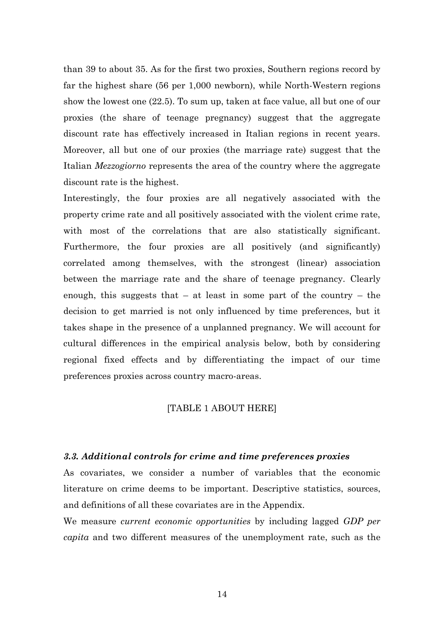than 39 to about 35. As for the first two proxies, Southern regions record by far the highest share (56 per 1,000 newborn), while North-Western regions show the lowest one (22.5). To sum up, taken at face value, all but one of our proxies (the share of teenage pregnancy) suggest that the aggregate discount rate has effectively increased in Italian regions in recent years. Moreover, all but one of our proxies (the marriage rate) suggest that the Italian *Mezzogiorno* represents the area of the country where the aggregate discount rate is the highest.

Interestingly, the four proxies are all negatively associated with the property crime rate and all positively associated with the violent crime rate, with most of the correlations that are also statistically significant. Furthermore, the four proxies are all positively (and significantly) correlated among themselves, with the strongest (linear) association between the marriage rate and the share of teenage pregnancy. Clearly enough, this suggests that  $-$  at least in some part of the country  $-$  the decision to get married is not only influenced by time preferences, but it takes shape in the presence of a unplanned pregnancy. We will account for cultural differences in the empirical analysis below, both by considering regional fixed effects and by differentiating the impact of our time preferences proxies across country macro-areas.

## [TABLE 1 ABOUT HERE]

#### *3.3. Additional controls for crime and time preferences proxies*

As covariates, we consider a number of variables that the economic literature on crime deems to be important. Descriptive statistics, sources, and definitions of all these covariates are in the Appendix.

We measure *current economic opportunities* by including lagged *GDP per capita* and two different measures of the unemployment rate, such as the

14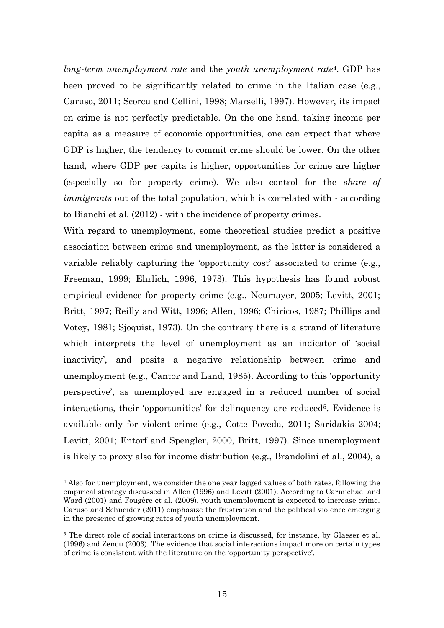*long-term unemployment rate* and the *youth unemployment rate*4. GDP has been proved to be significantly related to crime in the Italian case (e.g., Caruso, 2011; Scorcu and Cellini, 1998; Marselli, 1997). However, its impact on crime is not perfectly predictable. On the one hand, taking income per capita as a measure of economic opportunities, one can expect that where GDP is higher, the tendency to commit crime should be lower. On the other hand, where GDP per capita is higher, opportunities for crime are higher (especially so for property crime). We also control for the *share of immigrants* out of the total population, which is correlated with - according to Bianchi et al. (2012) - with the incidence of property crimes.

With regard to unemployment, some theoretical studies predict a positive association between crime and unemployment, as the latter is considered a variable reliably capturing the 'opportunity cost' associated to crime (e.g., Freeman, 1999; Ehrlich, 1996, 1973). This hypothesis has found robust empirical evidence for property crime (e.g., Neumayer, 2005; Levitt, 2001; Britt, 1997; Reilly and Witt, 1996; Allen, 1996; Chiricos, 1987; Phillips and Votey, 1981; Sjoquist, 1973). On the contrary there is a strand of literature which interprets the level of unemployment as an indicator of 'social inactivity', and posits a negative relationship between crime and unemployment (e.g., Cantor and Land, 1985). According to this 'opportunity perspective', as unemployed are engaged in a reduced number of social interactions, their 'opportunities' for delinquency are reduced<sup>5</sup>. Evidence is available only for violent crime (e.g., Cotte Poveda, 2011; Saridakis 2004; Levitt, 2001; Entorf and Spengler, 2000, Britt, 1997). Since unemployment is likely to proxy also for income distribution (e.g., Brandolini et al., 2004), a

 $\overline{a}$ 

<sup>4</sup> Also for unemployment, we consider the one year lagged values of both rates, following the empirical strategy discussed in Allen (1996) and Levitt (2001). According to Carmichael and Ward (2001) and Fougère et al. (2009), youth unemployment is expected to increase crime. Caruso and Schneider (2011) emphasize the frustration and the political violence emerging in the presence of growing rates of youth unemployment.

<sup>&</sup>lt;sup>5</sup> The direct role of social interactions on crime is discussed, for instance, by Glaeser et al. (1996) and Zenou (2003). The evidence that social interactions impact more on certain types of crime is consistent with the literature on the 'opportunity perspective'.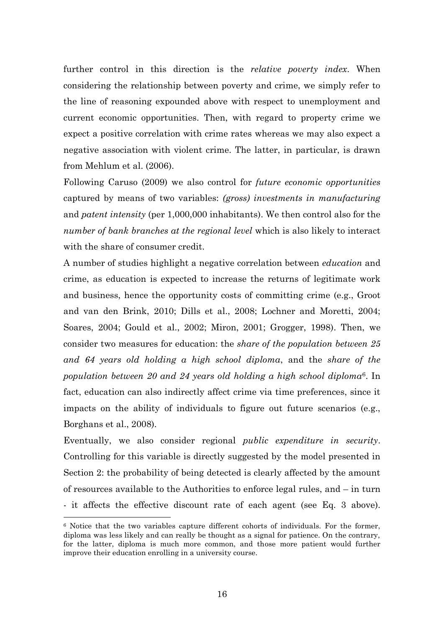further control in this direction is the *relative poverty index*. When considering the relationship between poverty and crime, we simply refer to the line of reasoning expounded above with respect to unemployment and current economic opportunities. Then, with regard to property crime we expect a positive correlation with crime rates whereas we may also expect a negative association with violent crime. The latter, in particular, is drawn from Mehlum et al. (2006).

Following Caruso (2009) we also control for *future economic opportunities* captured by means of two variables: *(gross) investments in manufacturing* and *patent intensity* (per 1,000,000 inhabitants). We then control also for the *number of bank branches at the regional level* which is also likely to interact with the share of consumer credit.

A number of studies highlight a negative correlation between *education* and crime, as education is expected to increase the returns of legitimate work and business, hence the opportunity costs of committing crime (e.g., Groot and van den Brink, 2010; Dills et al., 2008; Lochner and Moretti, 2004; Soares, 2004; Gould et al., 2002; Miron, 2001; Grogger, 1998). Then, we consider two measures for education: the *share of the population between 25 and 64 years old holding a high school diploma*, and the *share of the population between 20 and 24 years old holding a high school diploma*6. In fact, education can also indirectly affect crime via time preferences, since it impacts on the ability of individuals to figure out future scenarios (e.g., Borghans et al., 2008).

Eventually, we also consider regional *public expenditure in security*. Controlling for this variable is directly suggested by the model presented in Section 2: the probability of being detected is clearly affected by the amount of resources available to the Authorities to enforce legal rules, and – in turn - it affects the effective discount rate of each agent (see Eq. 3 above).

 $\overline{a}$ 

<sup>&</sup>lt;sup>6</sup> Notice that the two variables capture different cohorts of individuals. For the former, diploma was less likely and can really be thought as a signal for patience. On the contrary, for the latter, diploma is much more common, and those more patient would further improve their education enrolling in a university course.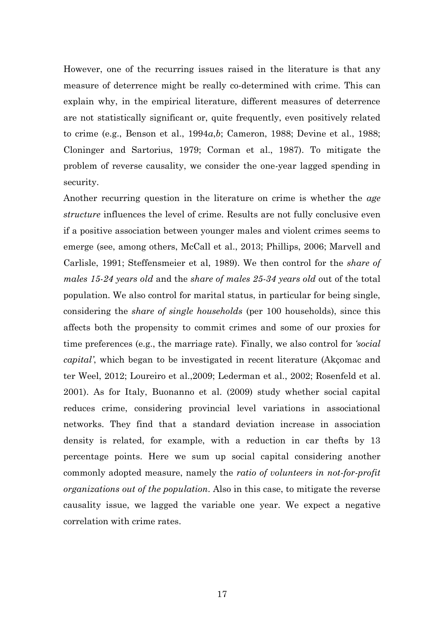However, one of the recurring issues raised in the literature is that any measure of deterrence might be really co-determined with crime. This can explain why, in the empirical literature, different measures of deterrence are not statistically significant or, quite frequently, even positively related to crime (e.g., Benson et al., 1994*a*,*b*; Cameron, 1988; Devine et al., 1988; Cloninger and Sartorius, 1979; Corman et al., 1987). To mitigate the problem of reverse causality, we consider the one-year lagged spending in security.

Another recurring question in the literature on crime is whether the *age structure* influences the level of crime. Results are not fully conclusive even if a positive association between younger males and violent crimes seems to emerge (see, among others, McCall et al., 2013; Phillips, 2006; Marvell and Carlisle, 1991; Steffensmeier et al, 1989). We then control for the *share of males 15-24 years old* and the *share of males 25-34 years old* out of the total population. We also control for marital status, in particular for being single, considering the *share of single households* (per 100 households), since this affects both the propensity to commit crimes and some of our proxies for time preferences (e.g., the marriage rate). Finally, we also control for *'social capital'*, which began to be investigated in recent literature (Akçomac and ter Weel, 2012; Loureiro et al.,2009; Lederman et al., 2002; Rosenfeld et al. 2001). As for Italy, Buonanno et al. (2009) study whether social capital reduces crime, considering provincial level variations in associational networks. They find that a standard deviation increase in association density is related, for example, with a reduction in car thefts by 13 percentage points. Here we sum up social capital considering another commonly adopted measure, namely the *ratio of volunteers in not-for-profit organizations out of the population*. Also in this case, to mitigate the reverse causality issue, we lagged the variable one year. We expect a negative correlation with crime rates.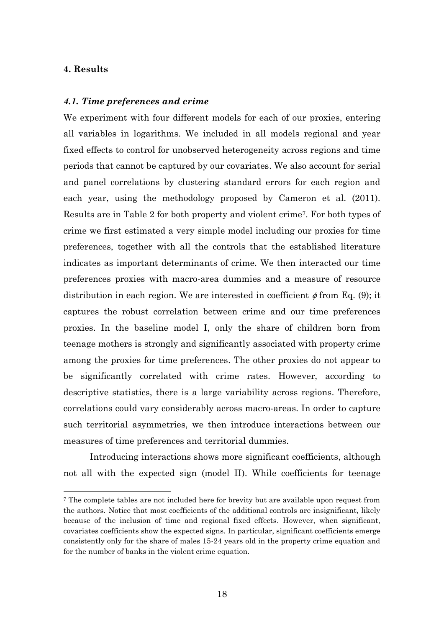#### **4. Results**

 $\overline{a}$ 

#### *4.1. Time preferences and crime*

We experiment with four different models for each of our proxies, entering all variables in logarithms. We included in all models regional and year fixed effects to control for unobserved heterogeneity across regions and time periods that cannot be captured by our covariates. We also account for serial and panel correlations by clustering standard errors for each region and each year, using the methodology proposed by Cameron et al. (2011). Results are in Table 2 for both property and violent crime7. For both types of crime we first estimated a very simple model including our proxies for time preferences, together with all the controls that the established literature indicates as important determinants of crime. We then interacted our time preferences proxies with macro-area dummies and a measure of resource distribution in each region. We are interested in coefficient  $\phi$  from Eq. (9); it captures the robust correlation between crime and our time preferences proxies. In the baseline model I, only the share of children born from teenage mothers is strongly and significantly associated with property crime among the proxies for time preferences. The other proxies do not appear to be significantly correlated with crime rates. However, according to descriptive statistics, there is a large variability across regions. Therefore, correlations could vary considerably across macro-areas. In order to capture such territorial asymmetries, we then introduce interactions between our measures of time preferences and territorial dummies.

Introducing interactions shows more significant coefficients, although not all with the expected sign (model II). While coefficients for teenage

<sup>7</sup> The complete tables are not included here for brevity but are available upon request from the authors. Notice that most coefficients of the additional controls are insignificant, likely because of the inclusion of time and regional fixed effects. However, when significant, covariates coefficients show the expected signs. In particular, significant coefficients emerge consistently only for the share of males 15-24 years old in the property crime equation and for the number of banks in the violent crime equation.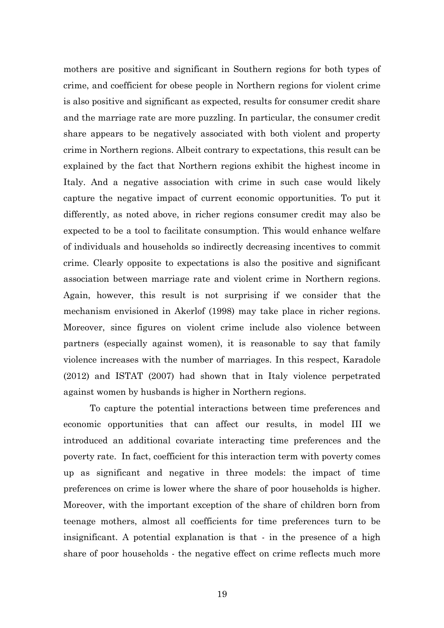mothers are positive and significant in Southern regions for both types of crime, and coefficient for obese people in Northern regions for violent crime is also positive and significant as expected, results for consumer credit share and the marriage rate are more puzzling. In particular, the consumer credit share appears to be negatively associated with both violent and property crime in Northern regions. Albeit contrary to expectations, this result can be explained by the fact that Northern regions exhibit the highest income in Italy. And a negative association with crime in such case would likely capture the negative impact of current economic opportunities. To put it differently, as noted above, in richer regions consumer credit may also be expected to be a tool to facilitate consumption. This would enhance welfare of individuals and households so indirectly decreasing incentives to commit crime. Clearly opposite to expectations is also the positive and significant association between marriage rate and violent crime in Northern regions. Again, however, this result is not surprising if we consider that the mechanism envisioned in Akerlof (1998) may take place in richer regions. Moreover, since figures on violent crime include also violence between partners (especially against women), it is reasonable to say that family violence increases with the number of marriages. In this respect, Karadole (2012) and ISTAT (2007) had shown that in Italy violence perpetrated against women by husbands is higher in Northern regions.

To capture the potential interactions between time preferences and economic opportunities that can affect our results, in model III we introduced an additional covariate interacting time preferences and the poverty rate. In fact, coefficient for this interaction term with poverty comes up as significant and negative in three models: the impact of time preferences on crime is lower where the share of poor households is higher. Moreover, with the important exception of the share of children born from teenage mothers, almost all coefficients for time preferences turn to be insignificant. A potential explanation is that - in the presence of a high share of poor households - the negative effect on crime reflects much more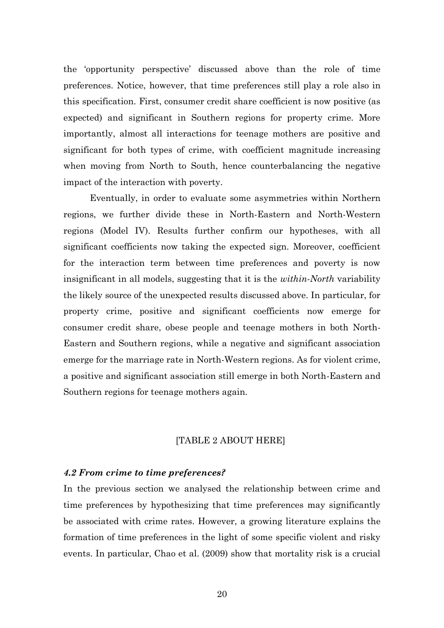the 'opportunity perspective' discussed above than the role of time preferences. Notice, however, that time preferences still play a role also in this specification. First, consumer credit share coefficient is now positive (as expected) and significant in Southern regions for property crime. More importantly, almost all interactions for teenage mothers are positive and significant for both types of crime, with coefficient magnitude increasing when moving from North to South, hence counterbalancing the negative impact of the interaction with poverty.

Eventually, in order to evaluate some asymmetries within Northern regions, we further divide these in North-Eastern and North-Western regions (Model IV). Results further confirm our hypotheses, with all significant coefficients now taking the expected sign. Moreover, coefficient for the interaction term between time preferences and poverty is now insignificant in all models, suggesting that it is the *within*-*North* variability the likely source of the unexpected results discussed above. In particular, for property crime, positive and significant coefficients now emerge for consumer credit share, obese people and teenage mothers in both North-Eastern and Southern regions, while a negative and significant association emerge for the marriage rate in North-Western regions. As for violent crime, a positive and significant association still emerge in both North-Eastern and Southern regions for teenage mothers again.

#### [TABLE 2 ABOUT HERE]

#### *4.2 From crime to time preferences?*

In the previous section we analysed the relationship between crime and time preferences by hypothesizing that time preferences may significantly be associated with crime rates. However, a growing literature explains the formation of time preferences in the light of some specific violent and risky events. In particular, Chao et al. (2009) show that mortality risk is a crucial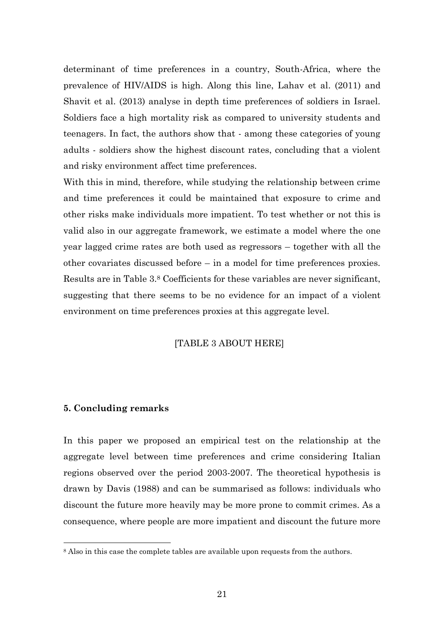determinant of time preferences in a country, South-Africa, where the prevalence of HIV/AIDS is high. Along this line, Lahav et al. (2011) and Shavit et al. (2013) analyse in depth time preferences of soldiers in Israel. Soldiers face a high mortality risk as compared to university students and teenagers. In fact, the authors show that - among these categories of young adults - soldiers show the highest discount rates, concluding that a violent and risky environment affect time preferences.

With this in mind, therefore, while studying the relationship between crime and time preferences it could be maintained that exposure to crime and other risks make individuals more impatient. To test whether or not this is valid also in our aggregate framework, we estimate a model where the one year lagged crime rates are both used as regressors – together with all the other covariates discussed before – in a model for time preferences proxies. Results are in Table 3.8 Coefficients for these variables are never significant, suggesting that there seems to be no evidence for an impact of a violent environment on time preferences proxies at this aggregate level.

### [TABLE 3 ABOUT HERE]

#### **5. Concluding remarks**

 $\overline{a}$ 

In this paper we proposed an empirical test on the relationship at the aggregate level between time preferences and crime considering Italian regions observed over the period 2003-2007. The theoretical hypothesis is drawn by Davis (1988) and can be summarised as follows: individuals who discount the future more heavily may be more prone to commit crimes. As a consequence, where people are more impatient and discount the future more

<sup>&</sup>lt;sup>8</sup> Also in this case the complete tables are available upon requests from the authors.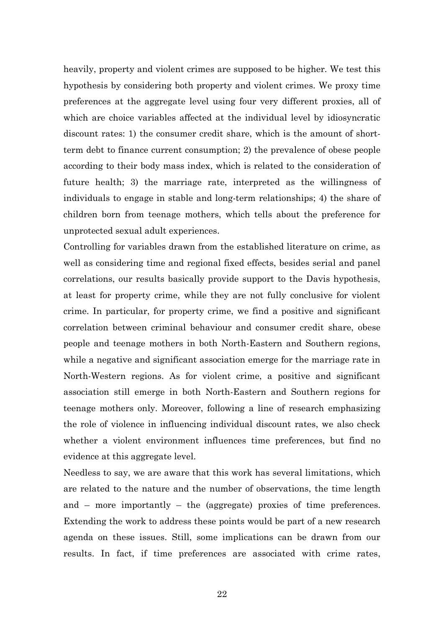heavily, property and violent crimes are supposed to be higher. We test this hypothesis by considering both property and violent crimes. We proxy time preferences at the aggregate level using four very different proxies, all of which are choice variables affected at the individual level by idiosyncratic discount rates: 1) the consumer credit share, which is the amount of shortterm debt to finance current consumption; 2) the prevalence of obese people according to their body mass index, which is related to the consideration of future health; 3) the marriage rate, interpreted as the willingness of individuals to engage in stable and long-term relationships; 4) the share of children born from teenage mothers, which tells about the preference for unprotected sexual adult experiences.

Controlling for variables drawn from the established literature on crime, as well as considering time and regional fixed effects, besides serial and panel correlations, our results basically provide support to the Davis hypothesis, at least for property crime, while they are not fully conclusive for violent crime. In particular, for property crime, we find a positive and significant correlation between criminal behaviour and consumer credit share, obese people and teenage mothers in both North-Eastern and Southern regions, while a negative and significant association emerge for the marriage rate in North-Western regions. As for violent crime, a positive and significant association still emerge in both North-Eastern and Southern regions for teenage mothers only. Moreover, following a line of research emphasizing the role of violence in influencing individual discount rates, we also check whether a violent environment influences time preferences, but find no evidence at this aggregate level.

Needless to say, we are aware that this work has several limitations, which are related to the nature and the number of observations, the time length and – more importantly – the (aggregate) proxies of time preferences. Extending the work to address these points would be part of a new research agenda on these issues. Still, some implications can be drawn from our results. In fact, if time preferences are associated with crime rates,

22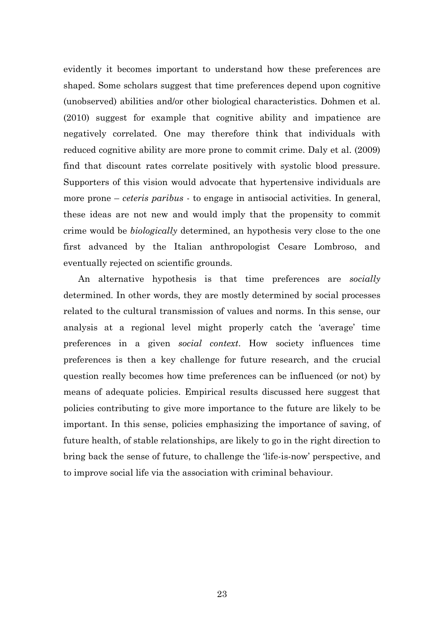evidently it becomes important to understand how these preferences are shaped. Some scholars suggest that time preferences depend upon cognitive (unobserved) abilities and/or other biological characteristics. Dohmen et al. (2010) suggest for example that cognitive ability and impatience are negatively correlated. One may therefore think that individuals with reduced cognitive ability are more prone to commit crime. Daly et al. (2009) find that discount rates correlate positively with systolic blood pressure. Supporters of this vision would advocate that hypertensive individuals are more prone – *ceteris paribus* - to engage in antisocial activities. In general, these ideas are not new and would imply that the propensity to commit crime would be *biologically* determined, an hypothesis very close to the one first advanced by the Italian anthropologist Cesare Lombroso, and eventually rejected on scientific grounds.

An alternative hypothesis is that time preferences are *socially* determined. In other words, they are mostly determined by social processes related to the cultural transmission of values and norms. In this sense, our analysis at a regional level might properly catch the 'average' time preferences in a given *social context*. How society influences time preferences is then a key challenge for future research, and the crucial question really becomes how time preferences can be influenced (or not) by means of adequate policies. Empirical results discussed here suggest that policies contributing to give more importance to the future are likely to be important. In this sense, policies emphasizing the importance of saving, of future health, of stable relationships, are likely to go in the right direction to bring back the sense of future, to challenge the 'life-is-now' perspective, and to improve social life via the association with criminal behaviour.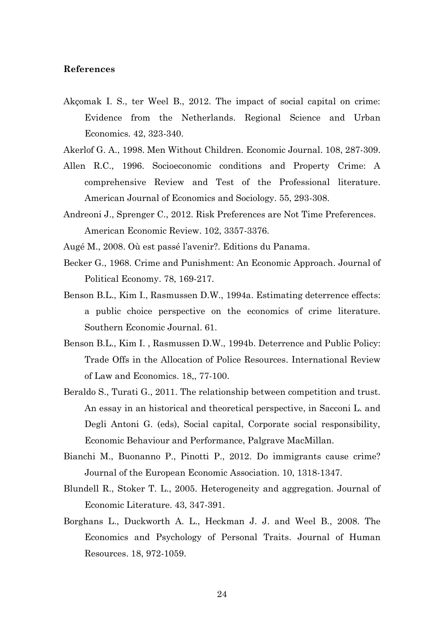#### **References**

- Akçomak I. S., ter Weel B., 2012. The impact of social capital on crime: Evidence from the Netherlands. Regional Science and Urban Economics. 42, 323-340.
- Akerlof G. A., 1998. Men Without Children. Economic Journal. 108, 287-309.
- Allen R.C., 1996. Socioeconomic conditions and Property Crime: A comprehensive Review and Test of the Professional literature. American Journal of Economics and Sociology. 55, 293-308.
- Andreoni J., Sprenger C., 2012. [Risk Preferences are Not Time Preferences.](http://econ.ucsd.edu/~jandreon/Publications/AER12-AS-RiskTime.pdf)  American Economic Review. 102, 3357-3376.
- Augé M., 2008. Où est passé l'avenir?. Editions du Panama.
- Becker G., 1968. Crime and Punishment: An Economic Approach. Journal of Political Economy. 78, 169-217.
- Benson B.L., Kim I., Rasmussen D.W., 1994a. Estimating deterrence effects: a public choice perspective on the economics of crime literature. Southern Economic Journal. 61.
- Benson B.L., Kim I. , Rasmussen D.W., 1994b. Deterrence and Public Policy: Trade Offs in the Allocation of Police Resources. International Review of Law and Economics. 18,, 77-100.
- Beraldo S., Turati G., 2011. The relationship between competition and trust. An essay in an historical and theoretical perspective, in Sacconi L. and Degli Antoni G. (eds), Social capital, Corporate social responsibility, Economic Behaviour and Performance, Palgrave MacMillan.
- Bianchi M., Buonanno P., Pinotti P., 2012. Do immigrants cause crime? Journal of the European Economic Association. 10, 1318-1347.
- Blundell R., Stoker T. L., 2005. Heterogeneity and aggregation. Journal of Economic Literature. 43, 347-391.
- Borghans L., Duckworth A. L., Heckman J. J. and Weel B., 2008. The Economics and Psychology of Personal Traits. Journal of Human Resources. 18, 972-1059.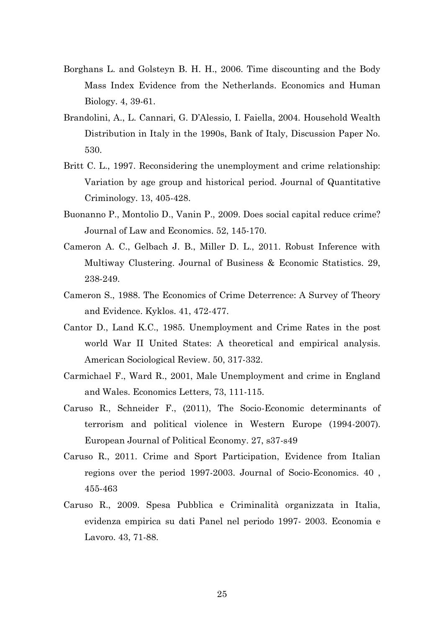- Borghans L. and Golsteyn B. H. H., 2006. Time discounting and the Body Mass Index Evidence from the Netherlands. Economics and Human Biology. 4, 39-61.
- Brandolini, A., L. Cannari, G. D'Alessio, I. Faiella, 2004. Household Wealth Distribution in Italy in the 1990s, Bank of Italy, Discussion Paper No. 530.
- Britt C. L., 1997. Reconsidering the unemployment and crime relationship: Variation by age group and historical period. Journal of Quantitative Criminology. 13, 405-428.
- Buonanno P., Montolio D., Vanin P., 2009. Does social capital reduce crime? Journal of Law and Economics. 52, 145-170.
- Cameron A. C., Gelbach J. B., Miller D. L., 2011. Robust Inference with Multiway Clustering. Journal of Business & Economic Statistics. 29, 238-249.
- Cameron S., 1988. The Economics of Crime Deterrence: A Survey of Theory and Evidence. Kyklos. 41, 472-477.
- Cantor D., Land K.C., 1985. Unemployment and Crime Rates in the post world War II United States: A theoretical and empirical analysis. American Sociological Review. 50, 317-332.
- Carmichael F., Ward R., 2001, Male Unemployment and crime in England and Wales. Economics Letters, 73, 111-115.
- Caruso R., Schneider F., (2011), The Socio-Economic determinants of terrorism and political violence in Western Europe (1994-2007). European Journal of Political Economy. 27, s37-s49
- Caruso R., 2011. Crime and Sport Participation, Evidence from Italian regions over the period 1997-2003. Journal of Socio-Economics. 40 , 455-463
- Caruso R., 2009. Spesa Pubblica e Criminalità organizzata in Italia, evidenza empirica su dati Panel nel periodo 1997- 2003. Economia e Lavoro. 43, 71-88.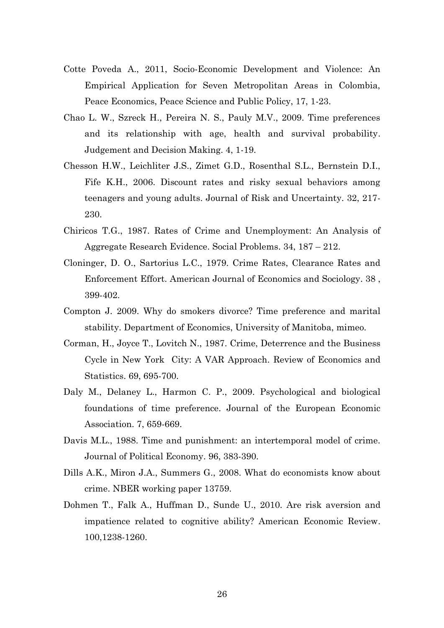- Cotte Poveda A., 2011, Socio-Economic Development and Violence: An Empirical Application for Seven Metropolitan Areas in Colombia, Peace Economics, Peace Science and Public Policy, 17, 1-23.
- Chao L. W., Szreck H., Pereira N. S., Pauly M.V., 2009. Time preferences and its relationship with age, health and survival probability. Judgement and Decision Making. 4, 1-19.
- Chesson H.W., Leichliter J.S., Zimet G.D., Rosenthal S.L., Bernstein D.I., Fife K.H., 2006. Discount rates and risky sexual behaviors among teenagers and young adults. Journal of Risk and Uncertainty. 32, 217- 230.
- Chiricos T.G., 1987. Rates of Crime and Unemployment: An Analysis of Aggregate Research Evidence. Social Problems. 34, 187 – 212.
- Cloninger, D. O., Sartorius L.C., 1979. Crime Rates, Clearance Rates and Enforcement Effort. American Journal of Economics and Sociology. 38 , 399-402.
- Compton J. 2009. Why do smokers divorce? Time preference and marital stability. Department of Economics, University of Manitoba, mimeo.
- Corman, H., Joyce T., Lovitch N., 1987. Crime, Deterrence and the Business Cycle in New York City: A VAR Approach. Review of Economics and Statistics. 69, 695-700.
- Daly M., Delaney L., Harmon C. P., 2009. Psychological and biological foundations of time preference. Journal of the European Economic Association. 7, 659-669.
- Davis M.L., 1988. Time and punishment: an intertemporal model of crime. Journal of Political Economy. 96, 383-390.
- Dills A.K., Miron J.A., Summers G., 2008. What do economists know about crime. NBER working paper 13759.
- Dohmen T., Falk A., Huffman D., Sunde U., 2010. Are risk aversion and impatience related to cognitive ability? American Economic Review. 100,1238-1260.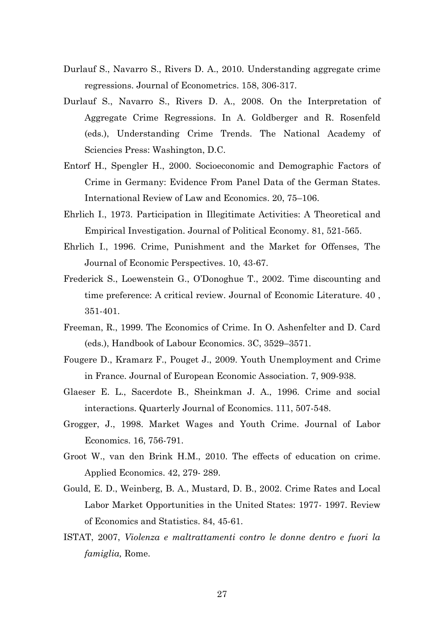- Durlauf S., Navarro S., Rivers D. A., 2010. Understanding aggregate crime regressions. Journal of Econometrics. 158, 306-317.
- Durlauf S., Navarro S., Rivers D. A., 2008. On the Interpretation of Aggregate Crime Regressions. In A. Goldberger and R. Rosenfeld (eds.), Understanding Crime Trends. The National Academy of Sciencies Press: Washington, D.C.
- Entorf H., Spengler H., 2000. Socioeconomic and Demographic Factors of Crime in Germany: Evidence From Panel Data of the German States. International Review of Law and Economics. 20, 75–106.
- Ehrlich I., 1973. Participation in Illegitimate Activities: A Theoretical and Empirical Investigation. Journal of Political Economy. 81, 521-565.
- Ehrlich I., 1996. Crime, Punishment and the Market for Offenses, The Journal of Economic Perspectives. 10, 43-67.
- Frederick S., Loewenstein G., O'Donoghue T., 2002. Time discounting and time preference: A critical review. Journal of Economic Literature. 40 , 351-401.
- Freeman, R., 1999. The Economics of Crime. In O. Ashenfelter and D. Card (eds.), Handbook of Labour Economics. 3C, 3529–3571.
- Fougere D., Kramarz F., Pouget J., 2009. Youth Unemployment and Crime in France. Journal of European Economic Association. 7, 909-938.
- Glaeser E. L., Sacerdote B., Sheinkman J. A., 1996. Crime and social interactions. Quarterly Journal of Economics. 111, 507-548.
- Grogger, J., 1998. Market Wages and Youth Crime. Journal of Labor Economics. 16, 756-791.
- Groot W., van den Brink H.M., 2010. The effects of education on crime. Applied Economics. 42, 279- 289.
- Gould, E. D., Weinberg, B. A., Mustard, D. B., 2002. Crime Rates and Local Labor Market Opportunities in the United States: 1977- 1997. Review of Economics and Statistics. 84, 45-61.
- ISTAT, 2007, *Violenza e maltrattamenti contro le donne dentro e fuori la famiglia,* Rome.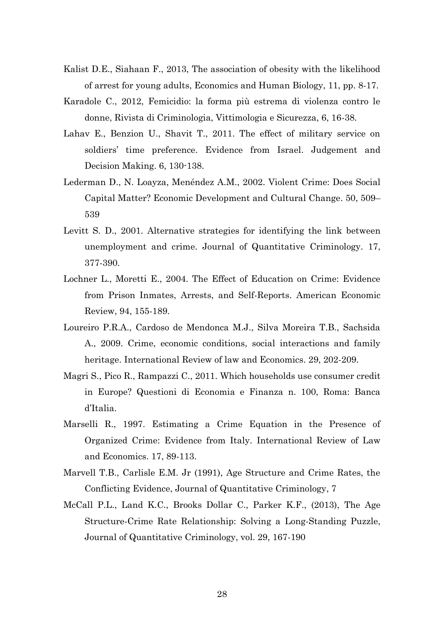- Kalist D.E., Siahaan F., 2013, The association of obesity with the likelihood of arrest for young adults, Economics and Human Biology, 11, pp. 8-17.
- Karadole C., 2012, Femicidio: la forma più estrema di violenza contro le donne, Rivista di Criminologia, Vittimologia e Sicurezza, 6, 16-38.
- Lahav E., Benzion U., Shavit T., 2011. The effect of military service on soldiers' time preference. Evidence from Israel. Judgement and Decision Making. 6, 130-138.
- Lederman D., N. Loayza, Menéndez A.M., 2002. Violent Crime: Does Social Capital Matter? Economic Development and Cultural Change. 50, 509– 539
- Levitt S. D., 2001. Alternative strategies for identifying the link between unemployment and crime. Journal of Quantitative Criminology. 17, 377-390.
- Lochner L., Moretti E., 2004. The Effect of Education on Crime: Evidence from Prison Inmates, Arrests, and Self-Reports. American Economic Review, 94, 155-189.
- Loureiro P.R.A., Cardoso de Mendonca M.J., Silva Moreira T.B., Sachsida A., 2009. Crime, economic conditions, social interactions and family heritage. International Review of law and Economics. 29, 202-209.
- Magri S., Pico R., Rampazzi C., 2011. Which households use consumer credit in Europe? Questioni di Economia e Finanza n. 100, Roma: Banca d'Italia.
- Marselli R., 1997. Estimating a Crime Equation in the Presence of Organized Crime: Evidence from Italy. International Review of Law and Economics. 17, 89-113.
- Marvell T.B., Carlisle E.M. Jr (1991), Age Structure and Crime Rates, the Conflicting Evidence, Journal of Quantitative Criminology, 7
- McCall P.L., Land K.C., Brooks Dollar C., Parker K.F., (2013), The Age Structure-Crime Rate Relationship: Solving a Long-Standing Puzzle, Journal of Quantitative Criminology, vol. 29, 167-190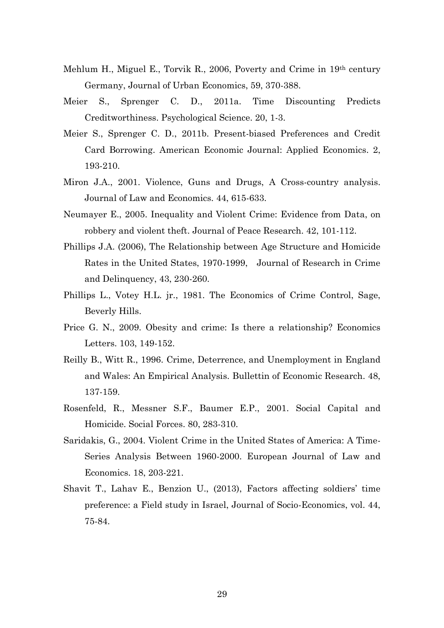- Mehlum H., Miguel E., Torvik R., 2006, Poverty and Crime in 19th century Germany, Journal of Urban Economics, 59, 370-388.
- Meier S., Sprenger C. D., 2011a. Time Discounting Predicts Creditworthiness. Psychological Science. 20, 1-3.
- Meier S., Sprenger C. D., 2011b. Present-biased Preferences and Credit Card Borrowing. American Economic Journal: Applied Economics. 2, 193-210.
- Miron J.A., 2001. Violence, Guns and Drugs, A Cross-country analysis. Journal of Law and Economics. 44, 615-633.
- Neumayer E., 2005. Inequality and Violent Crime: Evidence from Data, on robbery and violent theft. Journal of Peace Research. 42, 101-112.
- Phillips J.A. (2006), The Relationship between Age Structure and Homicide Rates in the United States, 1970-1999, Journal of Research in Crime and Delinquency, 43, 230-260.
- Phillips L., Votey H.L. jr., 1981. The Economics of Crime Control, Sage, Beverly Hills.
- Price G. N., 2009. Obesity and crime: Is there a relationship? Economics Letters. 103, 149-152.
- Reilly B., Witt R., 1996. Crime, Deterrence, and Unemployment in England and Wales: An Empirical Analysis. Bullettin of Economic Research. 48, 137-159.
- Rosenfeld, R., Messner S.F., Baumer E.P., 2001. Social Capital and Homicide. Social Forces. 80, 283-310.
- Saridakis, G., 2004. Violent Crime in the United States of America: A Time-Series Analysis Between 1960-2000. European Journal of Law and Economics. 18, 203-221.
- Shavit T., Lahav E., Benzion U., (2013), Factors affecting soldiers' time preference: a Field study in Israel, Journal of Socio-Economics, vol. 44, 75-84.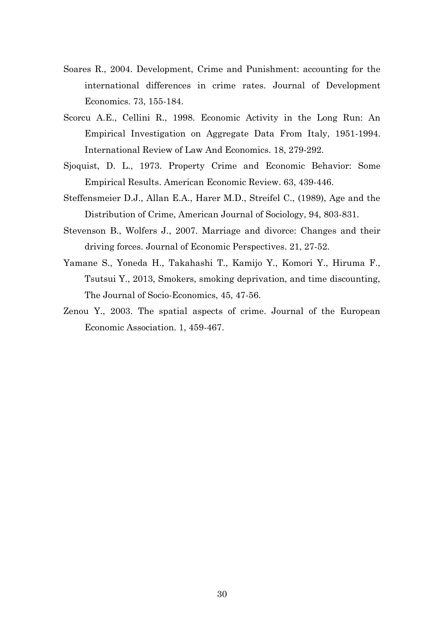- Soares R., 2004. Development, Crime and Punishment: accounting for the international differences in crime rates. Journal of Development Economics. 73, 155-184.
- Scorcu A.E., Cellini R., 1998. Economic Activity in the Long Run: An Empirical Investigation on Aggregate Data From Italy, 1951-1994. International Review of Law And Economics. 18, 279-292.
- Sjoquist, D. L., 1973. Property Crime and Economic Behavior: Some Empirical Results. American Economic Review. 63, 439-446.
- Steffensmeier D.J., Allan E.A., Harer M.D., Streifel C., (1989), Age and the Distribution of Crime, American Journal of Sociology, 94, 803-831.
- Stevenson B., Wolfers J., 2007. Marriage and divorce: Changes and their driving forces. Journal of Economic Perspectives. 21, 27-52.
- Yamane S., Yoneda H., Takahashi T., Kamijo Y., Komori Y., Hiruma F., Tsutsui Y., 2013, Smokers, smoking deprivation, and time discounting, The Journal of Socio-Economics, 45, 47-56.
- Zenou Y., 2003. The spatial aspects of crime. Journal of the European Economic Association. 1, 459-467.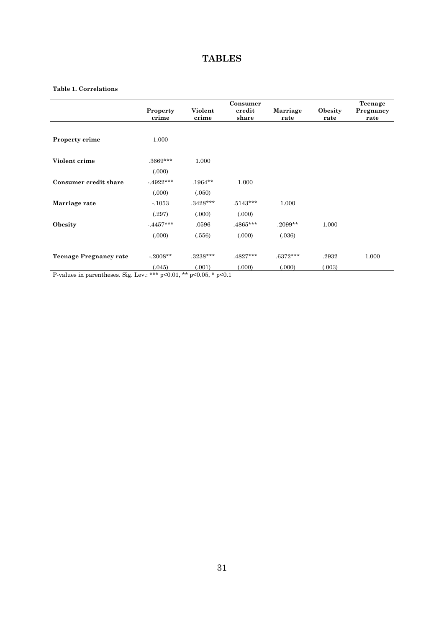# **TABLES**

#### **Table 1. Correlations**

|                               | Violent<br>Property<br>crime<br>crime |                           | Consumer<br>credit<br>Marriage<br>share<br>rate |                      | Obesity<br>rate | Teenage<br>Pregnancy<br>rate |
|-------------------------------|---------------------------------------|---------------------------|-------------------------------------------------|----------------------|-----------------|------------------------------|
| <b>Property crime</b>         | 1.000                                 |                           |                                                 |                      |                 |                              |
| Violent crime                 | $.3669***$<br>(.000)                  | 1.000                     |                                                 |                      |                 |                              |
| <b>Consumer credit share</b>  | $-4922***$<br>(.000)                  | $.1964**$<br>(.050)       | 1.000                                           |                      |                 |                              |
| Marriage rate                 | $-1053$                               | $.3428***$                | $.5143***$                                      | 1.000                |                 |                              |
| Obesity                       | (.297)<br>$-4457***$<br>(.000)        | (.000)<br>.0596<br>(.556) | (.000)<br>.4865***<br>(.000)                    | $.2099**$<br>(.036)  | 1.000           |                              |
| <b>Teenage Pregnancy rate</b> | $-.2008**$<br>(.045)                  | $.3238***$<br>(.001)      | $.4827***$<br>(.000)                            | $.6372***$<br>(.000) | .2932<br>(.003) | 1.000                        |

P-values in parentheses. Sig. Lev.: \*\*\* p<0.01, \*\* p<0.05, \* p<0.1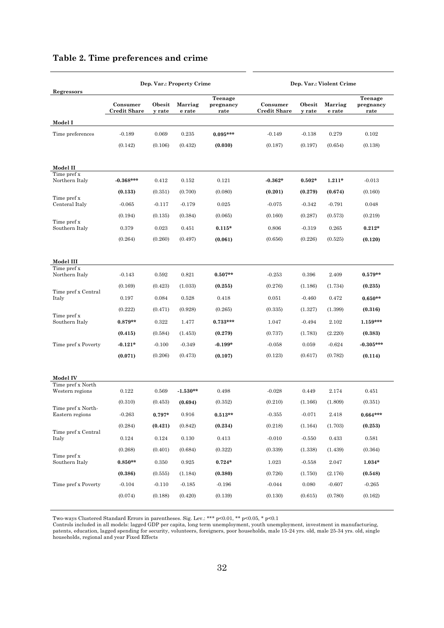| Regressors                            | Dep. Var.: Property Crime |                  |                   | Dep. Var.: Violent Crime     |                                 |                  |                     |                              |
|---------------------------------------|---------------------------|------------------|-------------------|------------------------------|---------------------------------|------------------|---------------------|------------------------------|
|                                       | Consumer<br>Credit Share  | Obesit<br>y rate | Marriag<br>e rate | Teenage<br>pregnancy<br>rate | Consumer<br><b>Credit Share</b> | Obesit<br>y rate | Marriag<br>e rate   | Teenage<br>pregnancy<br>rate |
| Model I                               |                           |                  |                   |                              |                                 |                  |                     |                              |
| Time preferences                      | $-0.189$                  | 0.069            | 0.235             | $0.095***$                   | $-0.149$                        | $-0.138$         | 0.279               | 0.102                        |
|                                       | (0.142)                   | (0.106)          | (0.432)           | (0.030)                      | (0.187)                         | (0.197)          | (0.654)             | (0.138)                      |
| Model II                              |                           |                  |                   |                              |                                 |                  |                     |                              |
| Time pref x<br>Northern Italy         | $-0.368***$               | 0.412            | 0.152             | 0.121                        |                                 | $0.502*$         |                     | $-0.013$                     |
|                                       | (0.133)                   | (0.351)          | (0.700)           | (0.080)                      | $-0.362*$<br>(0.201)            | (0.279)          | $1.211*$<br>(0.674) | (0.160)                      |
| Time pref x                           |                           |                  |                   |                              |                                 |                  |                     |                              |
| Centeral Italy                        | $-0.065$                  | $-0.117$         | $-0.179$          | 0.025                        | $-0.075$                        | $-0.342$         | $-0.791$            | 0.048                        |
| Time pref x                           | (0.194)                   | (0.135)          | (0.384)           | (0.065)                      | (0.160)                         | (0.287)          | (0.573)             | (0.219)                      |
| Southern Italy                        | 0.379                     | 0.023            | 0.451             | $0.115*$                     | 0.806                           | $-0.319$         | 0.265               | $0.212*$                     |
|                                       | (0.264)                   | (0.260)          | (0.497)           | (0.061)                      | (0.656)                         | (0.226)          | (0.525)             | (0.120)                      |
| Model III                             |                           |                  |                   |                              |                                 |                  |                     |                              |
| Time pref x<br>Northern Italy         | $-0.143$                  | 0.592            | 0.821             | $0.507**$                    | $-0.253$                        | 0.396            | 2.409               | $0.579**$                    |
|                                       | (0.169)                   | (0.423)          | (1.033)           | (0.255)                      | (0.276)                         | (1.186)          | (1.734)             | (0.235)                      |
| Time pref x Central<br>Italy          | 0.197                     | 0.084            | 0.528             | 0.418                        | 0.051                           | $-0.460$         | 0.472               | $0.650**$                    |
|                                       | (0.222)                   | (0.471)          | (0.928)           | (0.265)                      | (0.335)                         | (1.327)          | (1.399)             | (0.316)                      |
| Time pref x<br>Southern Italy         |                           | 0.322            | 1.477             | $0.733***$                   | 1.047                           | $-0.494$         | 2.102               | $1.159***$                   |
|                                       | $0.879**$                 | (0.584)          | (1.453)           |                              | (0.737)                         | (1.783)          | (2.220)             |                              |
| Time pref x Poverty                   | (0.415)<br>$-0.121*$      | $-0.100$         | $-0.349$          | (0.279)<br>$-0.199*$         | $-0.058$                        | 0.059            | $-0.624$            | (0.383)                      |
|                                       | (0.071)                   | (0.206)          | (0.473)           | (0.107)                      | (0.123)                         | (0.617)          | (0.782)             | $-0.305***$<br>(0.114)       |
|                                       |                           |                  |                   |                              |                                 |                  |                     |                              |
| Model IV                              |                           |                  |                   |                              |                                 |                  |                     |                              |
| Time pref x North<br>Western regions  | 0.122                     | 0.569            | $-1.530**$        | 0.498                        | $-0.028$                        | 0.449            | 2.174               | 0.451                        |
|                                       | (0.310)                   | (0.453)          | (0.694)           | (0.352)                      | (0.210)                         | (1.166)          | (1.809)             | (0.351)                      |
| Time pref x North-<br>Eastern regions | $-0.263$                  | $0.797*$         | $\rm 0.916$       | $0.513**$                    | $-0.355$                        | $-0.071$         | 2.418               | $0.664***$                   |
|                                       | (0.284)                   | (0.421)          | (0.842)           | (0.234)                      | (0.218)                         | (1.164)          | (1.703)             | (0.253)                      |
| Time pref x Central<br>Italy          | 0.124                     | 0.124            | 0.130             | 0.413                        | $-0.010$                        | $-0.550$         | 0.433               | 0.581                        |
|                                       | (0.268)                   | (0.401)          | (0.684)           | (0.322)                      | (0.339)                         | (1.338)          | (1.439)             | (0.364)                      |
| Time pref x<br>Southern Italy         | $0.850**$                 | 0.350            | $\,0.925\,$       | $0.724*$                     | 1.023                           | $-0.558$         | $\phantom{-}2.047$  | $1.034*$                     |
|                                       | (0.386)                   | (0.555)          | (1.184)           | (0.380)                      | (0.726)                         | (1.750)          | (2.176)             | (0.548)                      |
| Time pref x Poverty                   | $-0.104$                  | $-0.110$         | $-0.185$          | $-0.196$                     | $-0.044$                        | 0.080            | $-0.607$            | $-0.265$                     |
|                                       | (0.074)                   | (0.188)          | (0.420)           | (0.139)                      | (0.130)                         | (0.615)          | (0.780)             | (0.162)                      |

# **Table 2. Time preferences and crime**

Two-ways Clustered Standard Errors in parentheses. Sig. Lev.: \*\*\* p<0.01, \*\* p<0.05, \* p<0.1

Controls included in all models: lagged GDP per capita, long term unemployment, youth unemployment, investment in manufacturing, patents, education, lagged spending for security, volunteers, foreigners, poor households, male 15-24 yrs. old, male 25-34 yrs. old, single households, regional and year Fixed Effects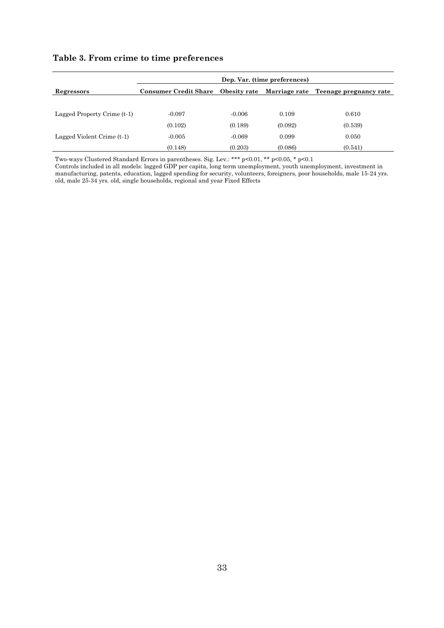|  |  |  | Table 3. From crime to time preferences |
|--|--|--|-----------------------------------------|
|  |  |  |                                         |

|                             |          | Dep. Var. (time preferences) |         |                                                                         |  |  |  |
|-----------------------------|----------|------------------------------|---------|-------------------------------------------------------------------------|--|--|--|
| Regressors                  |          |                              |         | Consumer Credit Share Obesity rate Marriage rate Teenage pregnancy rate |  |  |  |
|                             |          |                              |         |                                                                         |  |  |  |
| Lagged Property Crime (t-1) | $-0.097$ | $-0.006$                     | 0.109   | 0.610                                                                   |  |  |  |
|                             | (0.102)  | (0.189)                      | (0.092) | (0.539)                                                                 |  |  |  |
| Lagged Violent Crime (t-1)  | $-0.005$ | $-0.069$                     | 0.099   | 0.050                                                                   |  |  |  |
|                             | (0.148)  | (0.203)                      | (0.086) | (0.541)                                                                 |  |  |  |

Two-ways Clustered Standard Errors in parentheses. Sig. Lev.: \*\*\* p<0.01, \*\* p<0.05, \* p<0.1

Controls included in all models: lagged GDP per capita, long term unemployment, youth unemployment, investment in manufacturing, patents, education, lagged spending for security, volunteers, foreigners, poor households, male 15-24 yrs. old, male 25-34 yrs. old, single households, regional and year Fixed Effects